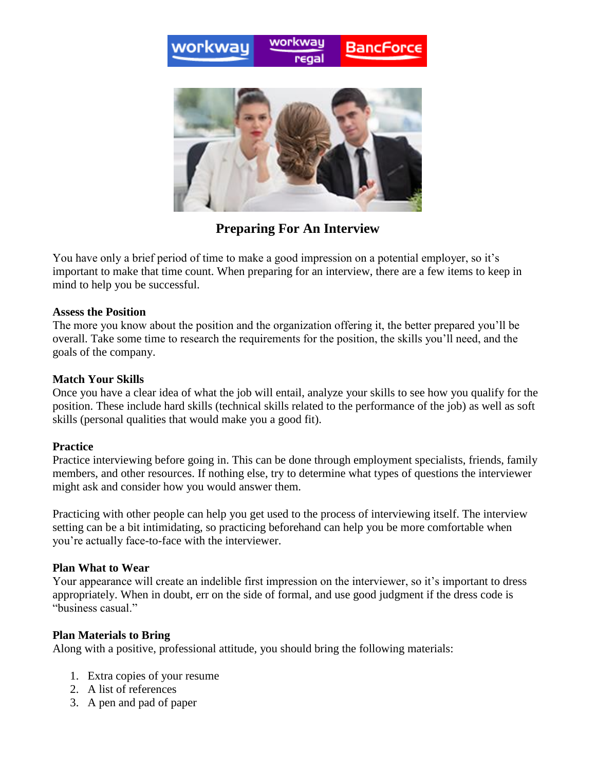



**Preparing For An Interview**

You have only a brief period of time to make a good impression on a potential employer, so it's important to make that time count. When preparing for an interview, there are a few items to keep in mind to help you be successful.

### **Assess the Position**

The more you know about the position and the organization offering it, the better prepared you'll be overall. Take some time to research the requirements for the position, the skills you'll need, and the goals of the company.

## **Match Your Skills**

Once you have a clear idea of what the job will entail, analyze your skills to see how you qualify for the position. These include hard skills (technical skills related to the performance of the job) as well as soft skills (personal qualities that would make you a good fit).

## **Practice**

Practice interviewing before going in. This can be done through employment specialists, friends, family members, and other resources. If nothing else, try to determine what types of questions the interviewer might ask and consider how you would answer them.

Practicing with other people can help you get used to the process of interviewing itself. The interview setting can be a bit intimidating, so practicing beforehand can help you be more comfortable when you're actually face-to-face with the interviewer.

#### **Plan What to Wear**

Your appearance will create an indelible first impression on the interviewer, so it's important to dress appropriately. When in doubt, err on the side of formal, and use good judgment if the dress code is "business casual."

## **Plan Materials to Bring**

Along with a positive, professional attitude, you should bring the following materials:

- 1. Extra copies of your resume
- 2. A list of references
- 3. A pen and pad of paper